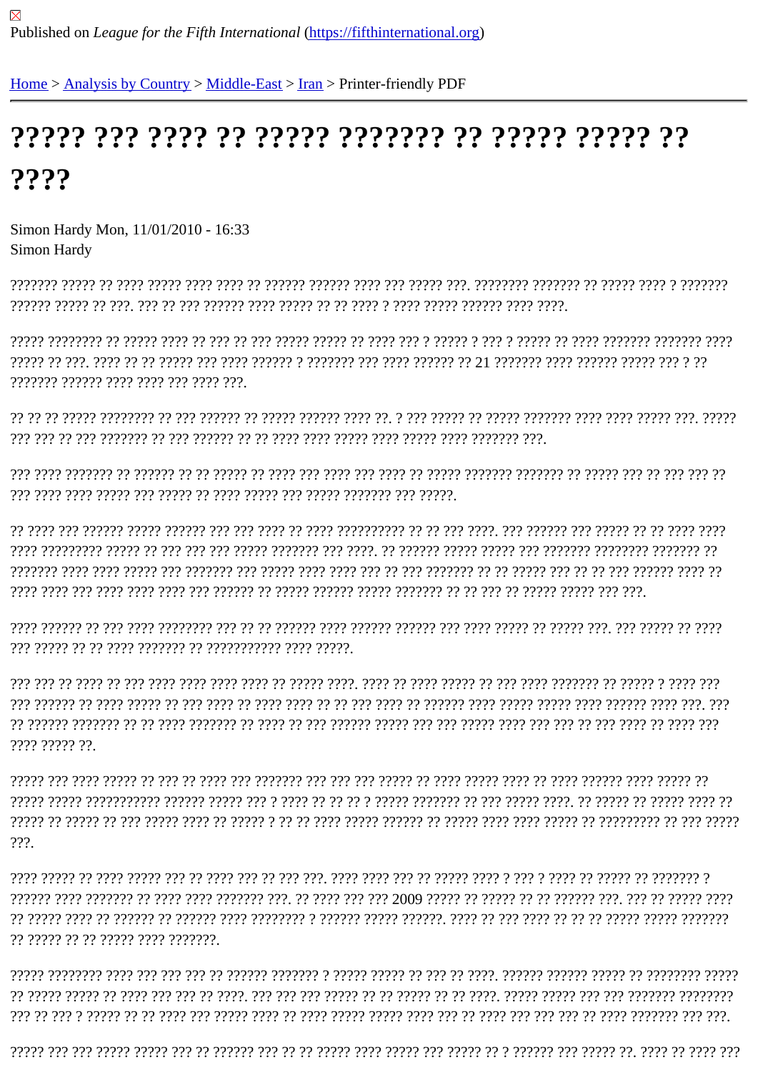## $2222$

Simon Hardy Mon, 11/01/2010 - 16:33 Simon Hardy

ויריר רי ריריורי ריריולי רירי היל הירי ריר וירי רירי ריריון ריריון ריך רירי רירי רירין רירין ריריון ריריון רי 277777 27777 2777 277 277 277 277777 2777 27777 27777 2777 27777 27777 27777 2777

??????? ?????? ???? ???? ??? ???? ???.

7777 77777 77

 $???.$ 

?? ????? ?? ?? ????? ???? ???????.